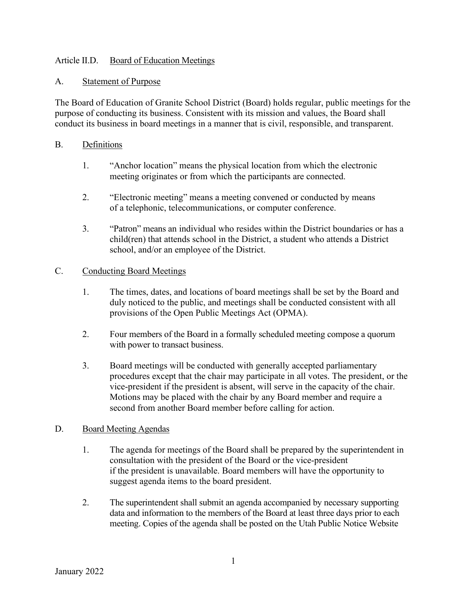# Article II.D. Board of Education Meetings

### A. Statement of Purpose

The Board of Education of Granite School District (Board) holds regular, public meetings for the purpose of conducting its business. Consistent with its mission and values, the Board shall conduct its business in board meetings in a manner that is civil, responsible, and transparent.

## B. Definitions

- 1. "Anchor location" means the physical location from which the electronic meeting originates or from which the participants are connected.
- 2. "Electronic meeting" means a meeting convened or conducted by means of a telephonic, telecommunications, or computer conference.
- 3. "Patron" means an individual who resides within the District boundaries or has a child(ren) that attends school in the District, a student who attends a District school, and/or an employee of the District.

#### C. Conducting Board Meetings

- 1. The times, dates, and locations of board meetings shall be set by the Board and duly noticed to the public, and meetings shall be conducted consistent with all provisions of the Open Public Meetings Act (OPMA).
- 2. Four members of the Board in a formally scheduled meeting compose a quorum with power to transact business.
- 3. Board meetings will be conducted with generally accepted parliamentary procedures except that the chair may participate in all votes. The president, or the vice-president if the president is absent, will serve in the capacity of the chair. Motions may be placed with the chair by any Board member and require a second from another Board member before calling for action.

#### D. Board Meeting Agendas

- 1. The agenda for meetings of the Board shall be prepared by the superintendent in consultation with the president of the Board or the vice-president if the president is unavailable. Board members will have the opportunity to suggest agenda items to the board president.
- 2. The superintendent shall submit an agenda accompanied by necessary supporting data and information to the members of the Board at least three days prior to each meeting. Copies of the agenda shall be posted on the Utah Public Notice Website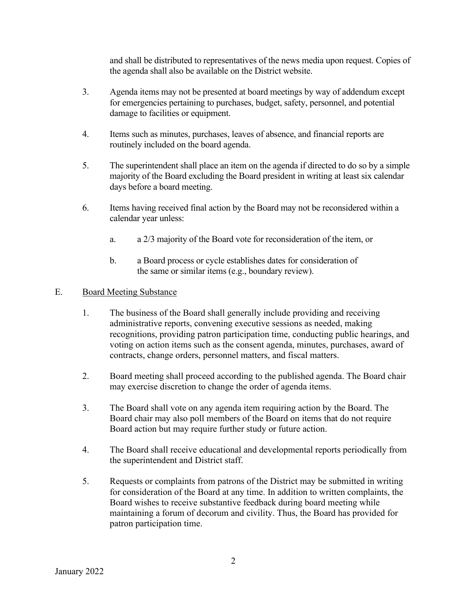and shall be distributed to representatives of the news media upon request. Copies of the agenda shall also be available on the District website.

- 3. Agenda items may not be presented at board meetings by way of addendum except for emergencies pertaining to purchases, budget, safety, personnel, and potential damage to facilities or equipment.
- 4. Items such as minutes, purchases, leaves of absence, and financial reports are routinely included on the board agenda.
- 5. The superintendent shall place an item on the agenda if directed to do so by a simple majority of the Board excluding the Board president in writing at least six calendar days before a board meeting.
- 6. Items having received final action by the Board may not be reconsidered within a calendar year unless:
	- a. a 2/3 majority of the Board vote for reconsideration of the item, or
	- b. a Board process or cycle establishes dates for consideration of the same or similar items (e.g., boundary review).

## E. Board Meeting Substance

- 1. The business of the Board shall generally include providing and receiving administrative reports, convening executive sessions as needed, making recognitions, providing patron participation time, conducting public hearings, and voting on action items such as the consent agenda, minutes, purchases, award of contracts, change orders, personnel matters, and fiscal matters.
- 2. Board meeting shall proceed according to the published agenda. The Board chair may exercise discretion to change the order of agenda items.
- 3. The Board shall vote on any agenda item requiring action by the Board. The Board chair may also poll members of the Board on items that do not require Board action but may require further study or future action.
- 4. The Board shall receive educational and developmental reports periodically from the superintendent and District staff.
- 5. Requests or complaints from patrons of the District may be submitted in writing for consideration of the Board at any time. In addition to written complaints, the Board wishes to receive substantive feedback during board meeting while maintaining a forum of decorum and civility. Thus, the Board has provided for patron participation time.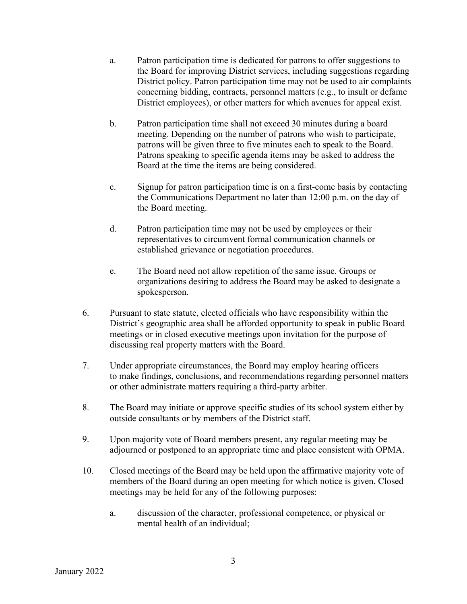- a. Patron participation time is dedicated for patrons to offer suggestions to the Board for improving District services, including suggestions regarding District policy. Patron participation time may not be used to air complaints concerning bidding, contracts, personnel matters (e.g., to insult or defame District employees), or other matters for which avenues for appeal exist.
- b. Patron participation time shall not exceed 30 minutes during a board meeting. Depending on the number of patrons who wish to participate, patrons will be given three to five minutes each to speak to the Board. Patrons speaking to specific agenda items may be asked to address the Board at the time the items are being considered.
- c. Signup for patron participation time is on a first-come basis by contacting the Communications Department no later than 12:00 p.m. on the day of the Board meeting.
- d. Patron participation time may not be used by employees or their representatives to circumvent formal communication channels or established grievance or negotiation procedures.
- e. The Board need not allow repetition of the same issue. Groups or organizations desiring to address the Board may be asked to designate a spokesperson.
- 6. Pursuant to state statute, elected officials who have responsibility within the District's geographic area shall be afforded opportunity to speak in public Board meetings or in closed executive meetings upon invitation for the purpose of discussing real property matters with the Board.
- 7. Under appropriate circumstances, the Board may employ hearing officers to make findings, conclusions, and recommendations regarding personnel matters or other administrate matters requiring a third-party arbiter.
- 8. The Board may initiate or approve specific studies of its school system either by outside consultants or by members of the District staff.
- 9. Upon majority vote of Board members present, any regular meeting may be adjourned or postponed to an appropriate time and place consistent with OPMA.
- 10. Closed meetings of the Board may be held upon the affirmative majority vote of members of the Board during an open meeting for which notice is given. Closed meetings may be held for any of the following purposes:
	- a. discussion of the character, professional competence, or physical or mental health of an individual;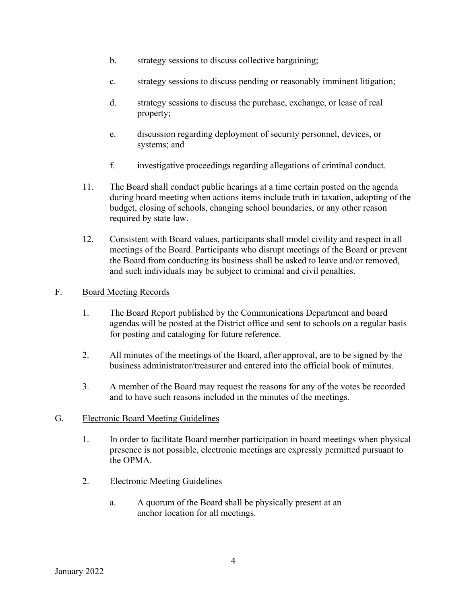- b. strategy sessions to discuss collective bargaining;
- c. strategy sessions to discuss pending or reasonably imminent litigation;
- d. strategy sessions to discuss the purchase, exchange, or lease of real property;
- e. discussion regarding deployment of security personnel, devices, or systems; and
- f. investigative proceedings regarding allegations of criminal conduct.
- 11. The Board shall conduct public hearings at a time certain posted on the agenda during board meeting when actions items include truth in taxation, adopting of the budget, closing of schools, changing school boundaries, or any other reason required by state law.
- 12. Consistent with Board values, participants shall model civility and respect in all meetings of the Board. Participants who disrupt meetings of the Board or prevent the Board from conducting its business shall be asked to leave and/or removed, and such individuals may be subject to criminal and civil penalties.

#### F. Board Meeting Records

- 1. The Board Report published by the Communications Department and board agendas will be posted at the District office and sent to schools on a regular basis for posting and cataloging for future reference.
- 2. All minutes of the meetings of the Board, after approval, are to be signed by the business administrator/treasurer and entered into the official book of minutes.
- 3. A member of the Board may request the reasons for any of the votes be recorded and to have such reasons included in the minutes of the meetings.

#### G. Electronic Board Meeting Guidelines

- 1. In order to facilitate Board member participation in board meetings when physical presence is not possible, electronic meetings are expressly permitted pursuant to the OPMA.
- 2. Electronic Meeting Guidelines
	- a. A quorum of the Board shall be physically present at an anchor location for all meetings.